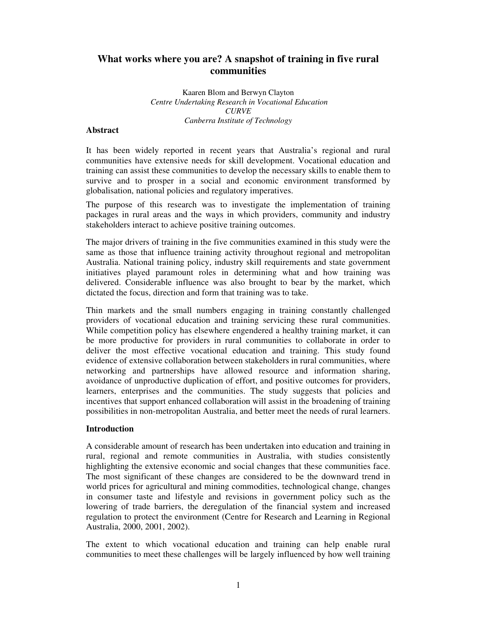# **What works where you are? A snapshot of training in five rural communities**

Kaaren Blom and Berwyn Clayton *Centre Undertaking Research in Vocational Education CURVE Canberra Institute of Technology*

#### **Abstract**

It has been widely reported in recent years that Australia's regional and rural communities have extensive needs for skill development. Vocational education and training can assist these communities to develop the necessary skills to enable them to survive and to prosper in a social and economic environment transformed by globalisation, national policies and regulatory imperatives.

The purpose of this research was to investigate the implementation of training packages in rural areas and the ways in which providers, community and industry stakeholders interact to achieve positive training outcomes.

The major drivers of training in the five communities examined in this study were the same as those that influence training activity throughout regional and metropolitan Australia. National training policy, industry skill requirements and state government initiatives played paramount roles in determining what and how training was delivered. Considerable influence was also brought to bear by the market, which dictated the focus, direction and form that training was to take.

Thin markets and the small numbers engaging in training constantly challenged providers of vocational education and training servicing these rural communities. While competition policy has elsewhere engendered a healthy training market, it can be more productive for providers in rural communities to collaborate in order to deliver the most effective vocational education and training. This study found evidence of extensive collaboration between stakeholders in rural communities, where networking and partnerships have allowed resource and information sharing, avoidance of unproductive duplication of effort, and positive outcomes for providers, learners, enterprises and the communities. The study suggests that policies and incentives that support enhanced collaboration will assist in the broadening of training possibilities in non-metropolitan Australia, and better meet the needs of rural learners.

#### **Introduction**

A considerable amount of research has been undertaken into education and training in rural, regional and remote communities in Australia, with studies consistently highlighting the extensive economic and social changes that these communities face. The most significant of these changes are considered to be the downward trend in world prices for agricultural and mining commodities, technological change, changes in consumer taste and lifestyle and revisions in government policy such as the lowering of trade barriers, the deregulation of the financial system and increased regulation to protect the environment (Centre for Research and Learning in Regional Australia, 2000, 2001, 2002).

The extent to which vocational education and training can help enable rural communities to meet these challenges will be largely influenced by how well training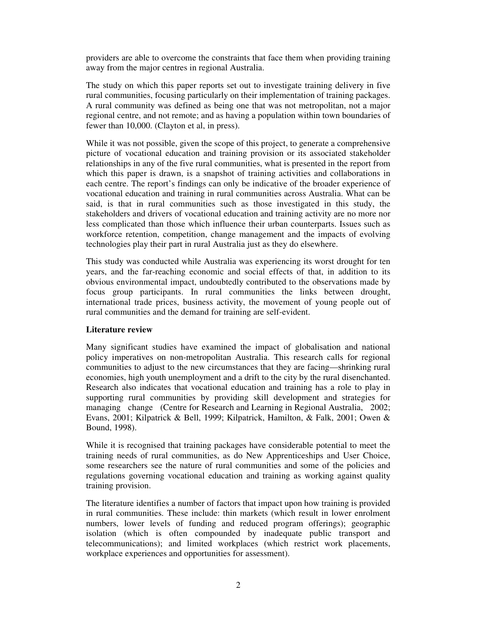providers are able to overcome the constraints that face them when providing training away from the major centres in regional Australia.

The study on which this paper reports set out to investigate training delivery in five rural communities, focusing particularly on their implementation of training packages. A rural community was defined as being one that was not metropolitan, not a major regional centre, and not remote; and as having a population within town boundaries of fewer than 10,000. (Clayton et al, in press).

While it was not possible, given the scope of this project, to generate a comprehensive picture of vocational education and training provision or its associated stakeholder relationships in any of the five rural communities, what is presented in the report from which this paper is drawn, is a snapshot of training activities and collaborations in each centre. The report's findings can only be indicative of the broader experience of vocational education and training in rural communities across Australia. What can be said, is that in rural communities such as those investigated in this study, the stakeholders and drivers of vocational education and training activity are no more nor less complicated than those which influence their urban counterparts. Issues such as workforce retention, competition, change management and the impacts of evolving technologies play their part in rural Australia just as they do elsewhere.

This study was conducted while Australia was experiencing its worst drought for ten years, and the far-reaching economic and social effects of that, in addition to its obvious environmental impact, undoubtedly contributed to the observations made by focus group participants. In rural communities the links between drought, international trade prices, business activity, the movement of young people out of rural communities and the demand for training are self-evident.

### **Literature review**

Many significant studies have examined the impact of globalisation and national policy imperatives on non-metropolitan Australia. This research calls for regional communities to adjust to the new circumstances that they are facing—shrinking rural economies, high youth unemployment and a drift to the city by the rural disenchanted. Research also indicates that vocational education and training has a role to play in supporting rural communities by providing skill development and strategies for managing change (Centre for Research and Learning in Regional Australia, 2002; Evans, 2001; Kilpatrick & Bell, 1999; Kilpatrick, Hamilton, & Falk, 2001; Owen & Bound, 1998).

While it is recognised that training packages have considerable potential to meet the training needs of rural communities, as do New Apprenticeships and User Choice, some researchers see the nature of rural communities and some of the policies and regulations governing vocational education and training as working against quality training provision.

The literature identifies a number of factors that impact upon how training is provided in rural communities. These include: thin markets (which result in lower enrolment numbers, lower levels of funding and reduced program offerings); geographic isolation (which is often compounded by inadequate public transport and telecommunications); and limited workplaces (which restrict work placements, workplace experiences and opportunities for assessment).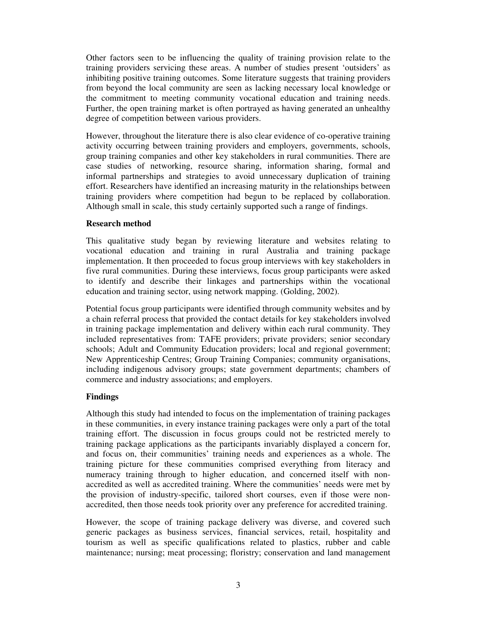Other factors seen to be influencing the quality of training provision relate to the training providers servicing these areas. A number of studies present 'outsiders' as inhibiting positive training outcomes. Some literature suggests that training providers from beyond the local community are seen as lacking necessary local knowledge or the commitment to meeting community vocational education and training needs. Further, the open training market is often portrayed as having generated an unhealthy degree of competition between various providers.

However, throughout the literature there is also clear evidence of co-operative training activity occurring between training providers and employers, governments, schools, group training companies and other key stakeholders in rural communities. There are case studies of networking, resource sharing, information sharing, formal and informal partnerships and strategies to avoid unnecessary duplication of training effort. Researchers have identified an increasing maturity in the relationships between training providers where competition had begun to be replaced by collaboration. Although small in scale, this study certainly supported such a range of findings.

### **Research method**

This qualitative study began by reviewing literature and websites relating to vocational education and training in rural Australia and training package implementation. It then proceeded to focus group interviews with key stakeholders in five rural communities. During these interviews, focus group participants were asked to identify and describe their linkages and partnerships within the vocational education and training sector, using network mapping. (Golding, 2002).

Potential focus group participants were identified through community websites and by a chain referral process that provided the contact details for key stakeholders involved in training package implementation and delivery within each rural community. They included representatives from: TAFE providers; private providers; senior secondary schools; Adult and Community Education providers; local and regional government; New Apprenticeship Centres; Group Training Companies; community organisations, including indigenous advisory groups; state government departments; chambers of commerce and industry associations; and employers.

## **Findings**

Although this study had intended to focus on the implementation of training packages in these communities, in every instance training packages were only a part of the total training effort. The discussion in focus groups could not be restricted merely to training package applications as the participants invariably displayed a concern for, and focus on, their communities' training needs and experiences as a whole. The training picture for these communities comprised everything from literacy and numeracy training through to higher education, and concerned itself with nonaccredited as well as accredited training. Where the communities' needs were met by the provision of industry-specific, tailored short courses, even if those were nonaccredited, then those needs took priority over any preference for accredited training.

However, the scope of training package delivery was diverse, and covered such generic packages as business services, financial services, retail, hospitality and tourism as well as specific qualifications related to plastics, rubber and cable maintenance; nursing; meat processing; floristry; conservation and land management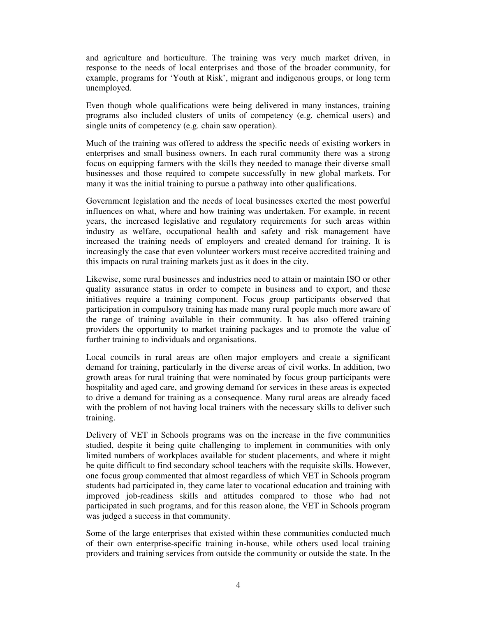and agriculture and horticulture. The training was very much market driven, in response to the needs of local enterprises and those of the broader community, for example, programs for 'Youth at Risk', migrant and indigenous groups, or long term unemployed.

Even though whole qualifications were being delivered in many instances, training programs also included clusters of units of competency (e.g. chemical users) and single units of competency (e.g. chain saw operation).

Much of the training was offered to address the specific needs of existing workers in enterprises and small business owners. In each rural community there was a strong focus on equipping farmers with the skills they needed to manage their diverse small businesses and those required to compete successfully in new global markets. For many it was the initial training to pursue a pathway into other qualifications.

Government legislation and the needs of local businesses exerted the most powerful influences on what, where and how training was undertaken. For example, in recent years, the increased legislative and regulatory requirements for such areas within industry as welfare, occupational health and safety and risk management have increased the training needs of employers and created demand for training. It is increasingly the case that even volunteer workers must receive accredited training and this impacts on rural training markets just as it does in the city.

Likewise, some rural businesses and industries need to attain or maintain ISO or other quality assurance status in order to compete in business and to export, and these initiatives require a training component. Focus group participants observed that participation in compulsory training has made many rural people much more aware of the range of training available in their community. It has also offered training providers the opportunity to market training packages and to promote the value of further training to individuals and organisations.

Local councils in rural areas are often major employers and create a significant demand for training, particularly in the diverse areas of civil works. In addition, two growth areas for rural training that were nominated by focus group participants were hospitality and aged care, and growing demand for services in these areas is expected to drive a demand for training as a consequence. Many rural areas are already faced with the problem of not having local trainers with the necessary skills to deliver such training.

Delivery of VET in Schools programs was on the increase in the five communities studied, despite it being quite challenging to implement in communities with only limited numbers of workplaces available for student placements, and where it might be quite difficult to find secondary school teachers with the requisite skills. However, one focus group commented that almost regardless of which VET in Schools program students had participated in, they came later to vocational education and training with improved job-readiness skills and attitudes compared to those who had not participated in such programs, and for this reason alone, the VET in Schools program was judged a success in that community.

Some of the large enterprises that existed within these communities conducted much of their own enterprise-specific training in-house, while others used local training providers and training services from outside the community or outside the state. In the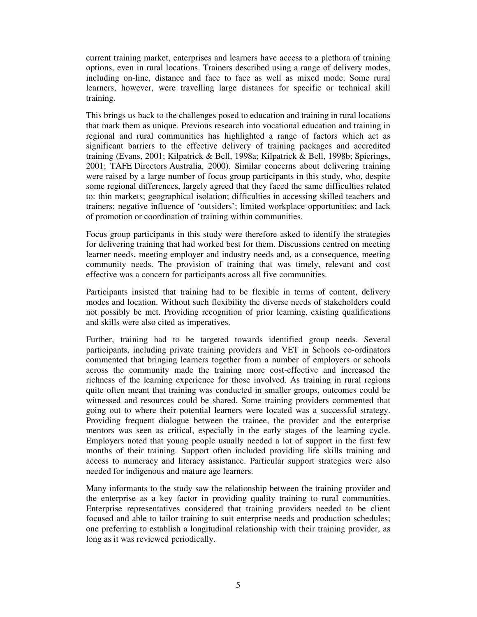current training market, enterprises and learners have access to a plethora of training options, even in rural locations. Trainers described using a range of delivery modes, including on-line, distance and face to face as well as mixed mode. Some rural learners, however, were travelling large distances for specific or technical skill training.

This brings us back to the challenges posed to education and training in rural locations that mark them as unique. Previous research into vocational education and training in regional and rural communities has highlighted a range of factors which act as significant barriers to the effective delivery of training packages and accredited training (Evans, 2001; Kilpatrick & Bell, 1998a; Kilpatrick & Bell, 1998b; Spierings, 2001; TAFE Directors Australia, 2000). Similar concerns about delivering training were raised by a large number of focus group participants in this study, who, despite some regional differences, largely agreed that they faced the same difficulties related to: thin markets; geographical isolation; difficulties in accessing skilled teachers and trainers; negative influence of 'outsiders'; limited workplace opportunities; and lack of promotion or coordination of training within communities.

Focus group participants in this study were therefore asked to identify the strategies for delivering training that had worked best for them. Discussions centred on meeting learner needs, meeting employer and industry needs and, as a consequence, meeting community needs. The provision of training that was timely, relevant and cost effective was a concern for participants across all five communities.

Participants insisted that training had to be flexible in terms of content, delivery modes and location. Without such flexibility the diverse needs of stakeholders could not possibly be met. Providing recognition of prior learning, existing qualifications and skills were also cited as imperatives.

Further, training had to be targeted towards identified group needs. Several participants, including private training providers and VET in Schools co-ordinators commented that bringing learners together from a number of employers or schools across the community made the training more cost-effective and increased the richness of the learning experience for those involved. As training in rural regions quite often meant that training was conducted in smaller groups, outcomes could be witnessed and resources could be shared. Some training providers commented that going out to where their potential learners were located was a successful strategy. Providing frequent dialogue between the trainee, the provider and the enterprise mentors was seen as critical, especially in the early stages of the learning cycle. Employers noted that young people usually needed a lot of support in the first few months of their training. Support often included providing life skills training and access to numeracy and literacy assistance. Particular support strategies were also needed for indigenous and mature age learners.

Many informants to the study saw the relationship between the training provider and the enterprise as a key factor in providing quality training to rural communities. Enterprise representatives considered that training providers needed to be client focused and able to tailor training to suit enterprise needs and production schedules; one preferring to establish a longitudinal relationship with their training provider, as long as it was reviewed periodically.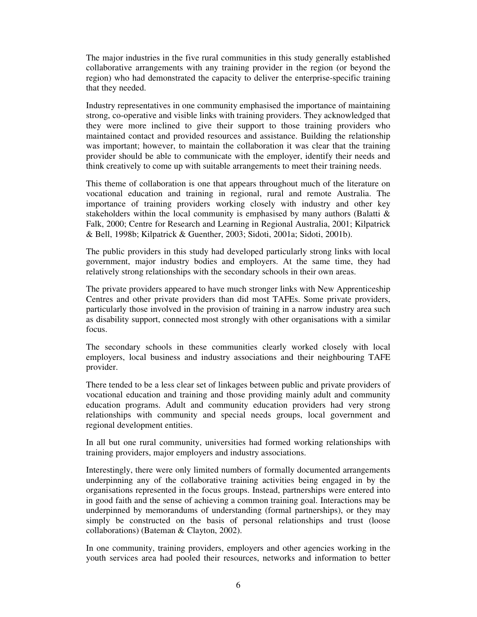The major industries in the five rural communities in this study generally established collaborative arrangements with any training provider in the region (or beyond the region) who had demonstrated the capacity to deliver the enterprise-specific training that they needed.

Industry representatives in one community emphasised the importance of maintaining strong, co-operative and visible links with training providers. They acknowledged that they were more inclined to give their support to those training providers who maintained contact and provided resources and assistance. Building the relationship was important; however, to maintain the collaboration it was clear that the training provider should be able to communicate with the employer, identify their needs and think creatively to come up with suitable arrangements to meet their training needs.

This theme of collaboration is one that appears throughout much of the literature on vocational education and training in regional, rural and remote Australia. The importance of training providers working closely with industry and other key stakeholders within the local community is emphasised by many authors (Balatti  $\&$ Falk, 2000; Centre for Research and Learning in Regional Australia, 2001; Kilpatrick & Bell, 1998b; Kilpatrick & Guenther, 2003; Sidoti, 2001a; Sidoti, 2001b).

The public providers in this study had developed particularly strong links with local government, major industry bodies and employers. At the same time, they had relatively strong relationships with the secondary schools in their own areas.

The private providers appeared to have much stronger links with New Apprenticeship Centres and other private providers than did most TAFEs. Some private providers, particularly those involved in the provision of training in a narrow industry area such as disability support, connected most strongly with other organisations with a similar focus.

The secondary schools in these communities clearly worked closely with local employers, local business and industry associations and their neighbouring TAFE provider.

There tended to be a less clear set of linkages between public and private providers of vocational education and training and those providing mainly adult and community education programs. Adult and community education providers had very strong relationships with community and special needs groups, local government and regional development entities.

In all but one rural community, universities had formed working relationships with training providers, major employers and industry associations.

Interestingly, there were only limited numbers of formally documented arrangements underpinning any of the collaborative training activities being engaged in by the organisations represented in the focus groups. Instead, partnerships were entered into in good faith and the sense of achieving a common training goal. Interactions may be underpinned by memorandums of understanding (formal partnerships), or they may simply be constructed on the basis of personal relationships and trust (loose collaborations) (Bateman & Clayton, 2002).

In one community, training providers, employers and other agencies working in the youth services area had pooled their resources, networks and information to better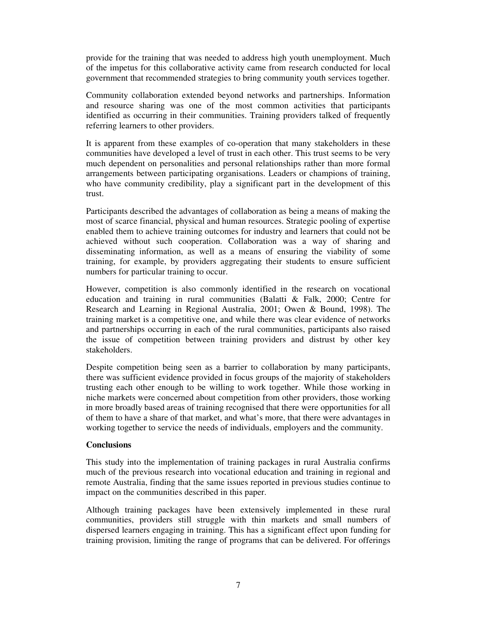provide for the training that was needed to address high youth unemployment. Much of the impetus for this collaborative activity came from research conducted for local government that recommended strategies to bring community youth services together.

Community collaboration extended beyond networks and partnerships. Information and resource sharing was one of the most common activities that participants identified as occurring in their communities. Training providers talked of frequently referring learners to other providers.

It is apparent from these examples of co-operation that many stakeholders in these communities have developed a level of trust in each other. This trust seems to be very much dependent on personalities and personal relationships rather than more formal arrangements between participating organisations. Leaders or champions of training, who have community credibility, play a significant part in the development of this trust.

Participants described the advantages of collaboration as being a means of making the most of scarce financial, physical and human resources. Strategic pooling of expertise enabled them to achieve training outcomes for industry and learners that could not be achieved without such cooperation. Collaboration was a way of sharing and disseminating information, as well as a means of ensuring the viability of some training, for example, by providers aggregating their students to ensure sufficient numbers for particular training to occur.

However, competition is also commonly identified in the research on vocational education and training in rural communities (Balatti & Falk, 2000; Centre for Research and Learning in Regional Australia, 2001; Owen & Bound, 1998). The training market is a competitive one, and while there was clear evidence of networks and partnerships occurring in each of the rural communities, participants also raised the issue of competition between training providers and distrust by other key stakeholders.

Despite competition being seen as a barrier to collaboration by many participants, there was sufficient evidence provided in focus groups of the majority of stakeholders trusting each other enough to be willing to work together. While those working in niche markets were concerned about competition from other providers, those working in more broadly based areas of training recognised that there were opportunities for all of them to have a share of that market, and what's more, that there were advantages in working together to service the needs of individuals, employers and the community.

### **Conclusions**

This study into the implementation of training packages in rural Australia confirms much of the previous research into vocational education and training in regional and remote Australia, finding that the same issues reported in previous studies continue to impact on the communities described in this paper.

Although training packages have been extensively implemented in these rural communities, providers still struggle with thin markets and small numbers of dispersed learners engaging in training. This has a significant effect upon funding for training provision, limiting the range of programs that can be delivered. For offerings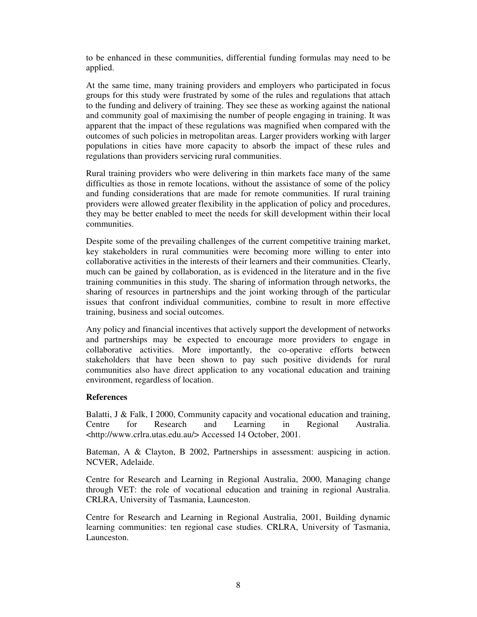to be enhanced in these communities, differential funding formulas may need to be applied.

At the same time, many training providers and employers who participated in focus groups for this study were frustrated by some of the rules and regulations that attach to the funding and delivery of training. They see these as working against the national and community goal of maximising the number of people engaging in training. It was apparent that the impact of these regulations was magnified when compared with the outcomes of such policies in metropolitan areas. Larger providers working with larger populations in cities have more capacity to absorb the impact of these rules and regulations than providers servicing rural communities.

Rural training providers who were delivering in thin markets face many of the same difficulties as those in remote locations, without the assistance of some of the policy and funding considerations that are made for remote communities. If rural training providers were allowed greater flexibility in the application of policy and procedures, they may be better enabled to meet the needs for skill development within their local communities.

Despite some of the prevailing challenges of the current competitive training market, key stakeholders in rural communities were becoming more willing to enter into collaborative activities in the interests of their learners and their communities. Clearly, much can be gained by collaboration, as is evidenced in the literature and in the five training communities in this study. The sharing of information through networks, the sharing of resources in partnerships and the joint working through of the particular issues that confront individual communities, combine to result in more effective training, business and social outcomes.

Any policy and financial incentives that actively support the development of networks and partnerships may be expected to encourage more providers to engage in collaborative activities. More importantly, the co-operative efforts between stakeholders that have been shown to pay such positive dividends for rural communities also have direct application to any vocational education and training environment, regardless of location.

### **References**

Balatti,  $J \&$  Falk, I 2000, Community capacity and vocational education and training, Centre for Research and Learning in Regional Australia. <http://www.crlra.utas.edu.au/> Accessed 14 October, 2001.

Bateman, A & Clayton, B 2002, Partnerships in assessment: auspicing in action. NCVER, Adelaide.

Centre for Research and Learning in Regional Australia, 2000, Managing change through VET: the role of vocational education and training in regional Australia. CRLRA, University of Tasmania, Launceston.

Centre for Research and Learning in Regional Australia, 2001, Building dynamic learning communities: ten regional case studies. CRLRA, University of Tasmania, Launceston.